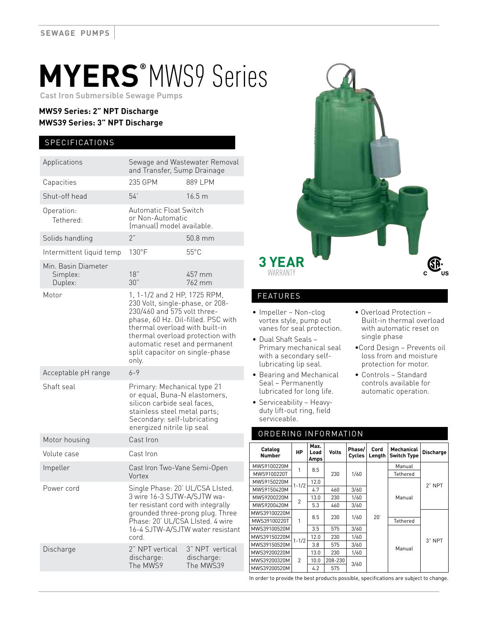# **MYERS®** MWS9 Series

 **Cast Iron Submersible Sewage Pumps**

## **MWS9 Series: 2" NPT Discharge MWS39 Series: 3" NPT Discharge**

### **SPECIFICATIONS**

| Applications                               | Sewage and Wastewater Removal<br>and Transfer, Sump Drainage                                                                                                                                                                                                                            |                   |  |  |  |
|--------------------------------------------|-----------------------------------------------------------------------------------------------------------------------------------------------------------------------------------------------------------------------------------------------------------------------------------------|-------------------|--|--|--|
| Capacities                                 | 235 GPM                                                                                                                                                                                                                                                                                 | 889 LPM           |  |  |  |
| Shut-off head                              | 54'                                                                                                                                                                                                                                                                                     | 16.5 <sub>m</sub> |  |  |  |
| Operation:<br>Tethered:                    | Automatic Float Switch<br>or Non-Automatic<br>(manual) model available.                                                                                                                                                                                                                 |                   |  |  |  |
| Solids handling                            | 2"                                                                                                                                                                                                                                                                                      | 50.8 mm           |  |  |  |
| Intermittent liquid temp                   | $130^{\circ}$ F                                                                                                                                                                                                                                                                         | $55^{\circ}$ C    |  |  |  |
| Min. Basin Diameter<br>Simplex:<br>Duplex: | 18"<br>30"                                                                                                                                                                                                                                                                              | 457 mm<br>762 mm  |  |  |  |
| Motor                                      | 1, 1-1/2 and 2 HP, 1725 RPM,<br>230 Volt, single-phase, or 208-<br>230/460 and 575 volt three-<br>phase, 60 Hz. Oil-filled. PSC with<br>thermal overload with built-in<br>thermal overload protection with<br>automatic reset and permanent<br>split capacitor on single-phase<br>only. |                   |  |  |  |
| Acceptable pH range                        | $6 - 9$                                                                                                                                                                                                                                                                                 |                   |  |  |  |
| Shaft seal                                 | Primary: Mechanical type 21<br>or equal, Buna-N elastomers,<br>silicon carbide seal faces,<br>stainless steel metal parts;<br>Secondary: self-lubricating<br>energized nitrile lip seal                                                                                                 |                   |  |  |  |
| Motor housing                              | Cast Iron                                                                                                                                                                                                                                                                               |                   |  |  |  |
| Volute case                                | Cast Iron                                                                                                                                                                                                                                                                               |                   |  |  |  |
| Impeller                                   | Cast Iron Two-Vane Semi-Open<br>Vortex                                                                                                                                                                                                                                                  |                   |  |  |  |
| Power cord                                 | Single Phase: 20' UL/CSA LIsted.<br>3 wire 16-3 SJTW-A/SJTW wa-<br>ter resistant cord with integrally<br>grounded three-prong plug. Three<br>Phase: 20' UL/CSA LIsted. 4 wire<br>16-4 SJTW-A/SJTW water resistant<br>cord.                                                              |                   |  |  |  |
| Discharge                                  | 2" NPT vertical                                                                                                                                                                                                                                                                         | 3" NPT vertical   |  |  |  |



## FEATURES

- Impeller Non-clog vortex style, pump out vanes for seal protection.
- Dual Shaft Seals Primary mechanical seal with a secondary selflubricating lip seal.
- Bearing and Mechanical Seal – Permanently lubricated for long life.
- Serviceability Heavyduty lift-out ring, field serviceable.
- Overload Protection Built-in thermal overload with automatic reset on single phase
- •Cord Design Prevents oil loss from and moisture protection for motor.
- Controls Standard controls available for automatic operation.

#### ORDERING INFORMATION

| Catalog<br>Number | HP             | Max.<br>Load<br>Amps | <b>Volts</b> | Phase/<br>Cycles | Cord<br>Length | Mechanical<br><b>Switch Type</b> | <b>Discharge</b> |
|-------------------|----------------|----------------------|--------------|------------------|----------------|----------------------------------|------------------|
| MWS9100220M       | 1              | 8.5                  | 230          | 1/60             | 20'            | Manual                           | $2"$ NPT         |
| MWS9100220T       |                |                      |              |                  |                | Tethered                         |                  |
| MWS9150220M       | $1 - 1/2$      | 12.0                 |              |                  |                | Manual                           |                  |
| MWS9150420M       |                | 4.7                  | 460          | 3/60             |                |                                  |                  |
| MWS9200220M       | $\overline{2}$ | 13.0                 | 230          | 1/60             |                |                                  |                  |
| MWS9200420M       |                | 5.3                  | 460          | 3/60             |                |                                  |                  |
| MWS39100220M      | 1              | 8.5                  | 230          | 1/60             |                |                                  | 3" NPT           |
| MWS39100220T      |                |                      |              |                  |                | Tethered                         |                  |
| MWS39100520M      |                | 3.5                  | 575          | 3/60             |                | Manual                           |                  |
| MWS39150220M      | $1 - 1/2$      | 12.0                 | 230          | 1/60             |                |                                  |                  |
| MWS39150520M      |                | 3.8                  | 575          | 3/60             |                |                                  |                  |
| MWS39200220M      | $\mathfrak{p}$ | 13.0                 | 230          | 1/60             |                |                                  |                  |
| MWS39200320M      |                | 10.0                 | 208-230      | 3/60             |                |                                  |                  |
| MWS39200520M      |                | 4.2                  | 575          |                  |                |                                  |                  |

In order to provide the best products possible, specifications are subject to change.